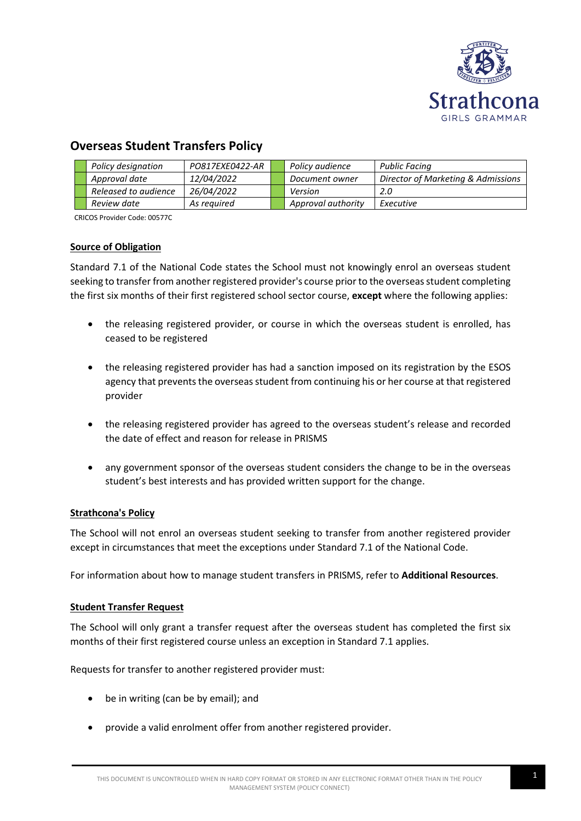

# **Overseas Student Transfers Policy**

|  | Policy designation   | PO817EXE0422-AR | Policy audience    | Public Facing                      |
|--|----------------------|-----------------|--------------------|------------------------------------|
|  | Approval date        | 12/04/2022      | Document owner     | Director of Marketing & Admissions |
|  | Released to audience | 26/04/2022      | Version            | 2.0                                |
|  | Review date          | As required     | Approval authority | Executive                          |

CRICOS Provider Code: 00577C

## **Source of Obligation**

Standard 7.1 of the National Code states the School must not knowingly enrol an overseas student seeking to transfer from another registered provider's course prior to the overseas student completing the first six months of their first registered school sector course, **except** where the following applies:

- the releasing registered provider, or course in which the overseas student is enrolled, has ceased to be registered
- the releasing registered provider has had a sanction imposed on its registration by the ESOS agency that prevents the overseas student from continuing his or her course at that registered provider
- the releasing registered provider has agreed to the overseas student's release and recorded the date of effect and reason for release in PRISMS
- any government sponsor of the overseas student considers the change to be in the overseas student's best interests and has provided written support for the change.

#### **Strathcona's Policy**

The School will not enrol an overseas student seeking to transfer from another registered provider except in circumstances that meet the exceptions under Standard 7.1 of the National Code.

For information about how to manage student transfers in PRISMS, refer to **Additional Resources**.

#### **Student Transfer Request**

The School will only grant a transfer request after the overseas student has completed the first six months of their first registered course unless an exception in Standard 7.1 applies.

Requests for transfer to another registered provider must:

- be in writing (can be by email); and
- provide a valid enrolment offer from another registered provider.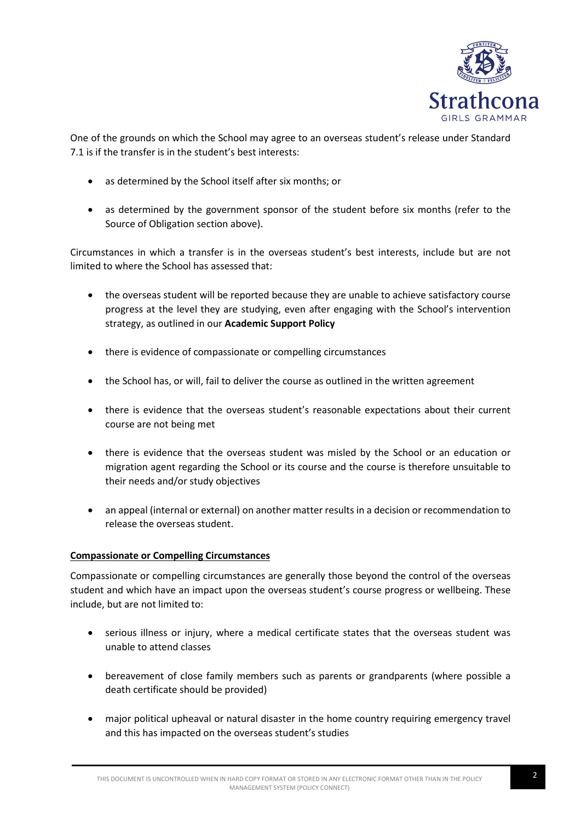

One of the grounds on which the School may agree to an overseas student's release under Standard 7.1 is if the transfer is in the student's best interests:

- as determined by the School itself after six months; or
- as determined by the government sponsor of the student before six months (refer to the Source of Obligation section above).

Circumstances in which a transfer is in the overseas student's best interests, include but are not limited to where the School has assessed that:

- the overseas student will be reported because they are unable to achieve satisfactory course progress at the level they are studying, even after engaging with the School's intervention strategy, as outlined in our **Academic Support Policy**
- there is evidence of compassionate or compelling circumstances
- the School has, or will, fail to deliver the course as outlined in the written agreement
- there is evidence that the overseas student's reasonable expectations about their current course are not being met
- there is evidence that the overseas student was misled by the School or an education or migration agent regarding the School or its course and the course is therefore unsuitable to their needs and/or study objectives
- an appeal (internal or external) on another matter results in a decision or recommendation to release the overseas student.

# **Compassionate or Compelling Circumstances**

Compassionate or compelling circumstances are generally those beyond the control of the overseas student and which have an impact upon the overseas student's course progress or wellbeing. These include, but are not limited to:

- serious illness or injury, where a medical certificate states that the overseas student was unable to attend classes
- bereavement of close family members such as parents or grandparents (where possible a death certificate should be provided)
- major political upheaval or natural disaster in the home country requiring emergency travel and this has impacted on the overseas student's studies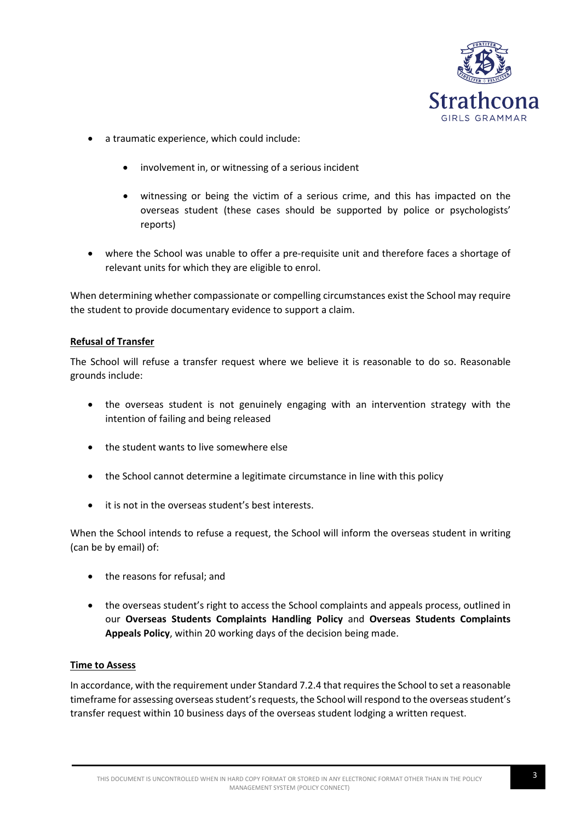

- a traumatic experience, which could include:
	- involvement in, or witnessing of a serious incident
	- witnessing or being the victim of a serious crime, and this has impacted on the overseas student (these cases should be supported by police or psychologists' reports)
- where the School was unable to offer a pre-requisite unit and therefore faces a shortage of relevant units for which they are eligible to enrol.

When determining whether compassionate or compelling circumstances exist the School may require the student to provide documentary evidence to support a claim.

#### **Refusal of Transfer**

The School will refuse a transfer request where we believe it is reasonable to do so. Reasonable grounds include:

- the overseas student is not genuinely engaging with an intervention strategy with the intention of failing and being released
- the student wants to live somewhere else
- the School cannot determine a legitimate circumstance in line with this policy
- it is not in the overseas student's best interests.

When the School intends to refuse a request, the School will inform the overseas student in writing (can be by email) of:

- the reasons for refusal; and
- the overseas student's right to access the School complaints and appeals process, outlined in our **Overseas Students Complaints Handling Policy** and **Overseas Students Complaints Appeals Policy**, within 20 working days of the decision being made.

#### **Time to Assess**

In accordance, with the requirement under Standard 7.2.4 that requires the School to set a reasonable timeframe for assessing overseas student's requests, the School will respond to the overseas student's transfer request within 10 business days of the overseas student lodging a written request.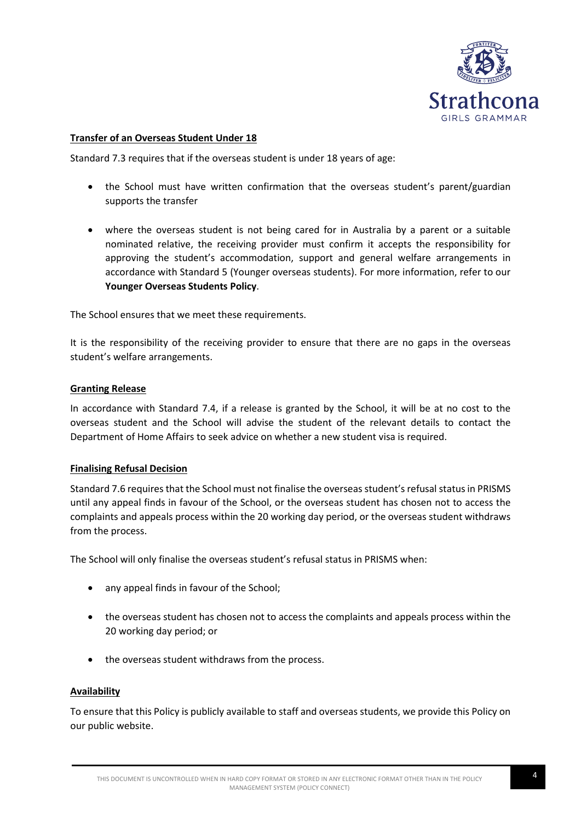

### **Transfer of an Overseas Student Under 18**

Standard 7.3 requires that if the overseas student is under 18 years of age:

- the School must have written confirmation that the overseas student's parent/guardian supports the transfer
- where the overseas student is not being cared for in Australia by a parent or a suitable nominated relative, the receiving provider must confirm it accepts the responsibility for approving the student's accommodation, support and general welfare arrangements in accordance with Standard 5 (Younger overseas students). For more information, refer to our **Younger Overseas Students Policy**.

The School ensures that we meet these requirements.

It is the responsibility of the receiving provider to ensure that there are no gaps in the overseas student's welfare arrangements.

#### **Granting Release**

In accordance with Standard 7.4, if a release is granted by the School, it will be at no cost to the overseas student and the School will advise the student of the relevant details to contact the Department of Home Affairs to seek advice on whether a new student visa is required.

#### **Finalising Refusal Decision**

Standard 7.6 requires that the School must not finalise the overseas student's refusal status in PRISMS until any appeal finds in favour of the School, or the overseas student has chosen not to access the complaints and appeals process within the 20 working day period, or the overseas student withdraws from the process.

The School will only finalise the overseas student's refusal status in PRISMS when:

- any appeal finds in favour of the School;
- the overseas student has chosen not to access the complaints and appeals process within the 20 working day period; or
- the overseas student withdraws from the process.

#### **Availability**

To ensure that this Policy is publicly available to staff and overseas students, we provide this Policy on our public website.